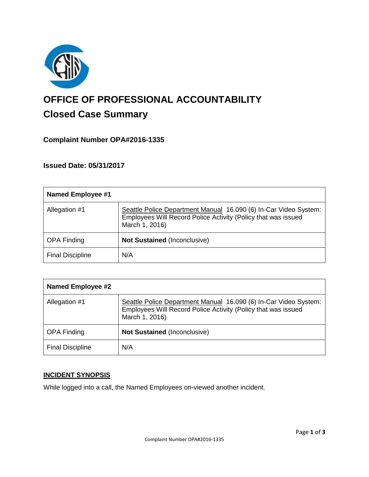

# **OFFICE OF PROFESSIONAL ACCOUNTABILITY Closed Case Summary**

## **Complaint Number OPA#2016-1335**

**Issued Date: 05/31/2017**

| <b>Named Employee #1</b> |                                                                                                                                                     |
|--------------------------|-----------------------------------------------------------------------------------------------------------------------------------------------------|
| Allegation #1            | Seattle Police Department Manual 16.090 (6) In-Car Video System:<br>Employees Will Record Police Activity (Policy that was issued<br>March 1, 2016) |
| <b>OPA Finding</b>       | <b>Not Sustained (Inconclusive)</b>                                                                                                                 |
| <b>Final Discipline</b>  | N/A                                                                                                                                                 |

| <b>Named Employee #2</b> |                                                                                                                                                     |
|--------------------------|-----------------------------------------------------------------------------------------------------------------------------------------------------|
| Allegation #1            | Seattle Police Department Manual 16.090 (6) In-Car Video System:<br>Employees Will Record Police Activity (Policy that was issued<br>March 1, 2016) |
| <b>OPA Finding</b>       | <b>Not Sustained (Inconclusive)</b>                                                                                                                 |
| <b>Final Discipline</b>  | N/A                                                                                                                                                 |

#### **INCIDENT SYNOPSIS**

While logged into a call, the Named Employees on-viewed another incident.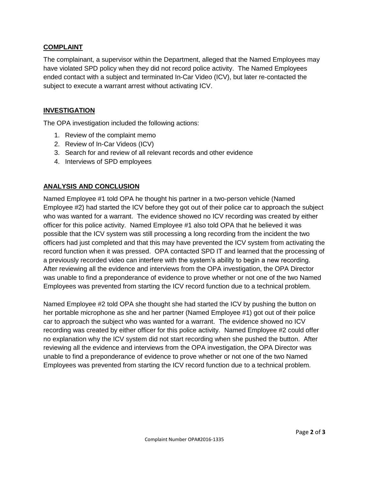#### **COMPLAINT**

The complainant, a supervisor within the Department, alleged that the Named Employees may have violated SPD policy when they did not record police activity. The Named Employees ended contact with a subject and terminated In-Car Video (ICV), but later re-contacted the subject to execute a warrant arrest without activating ICV.

#### **INVESTIGATION**

The OPA investigation included the following actions:

- 1. Review of the complaint memo
- 2. Review of In-Car Videos (ICV)
- 3. Search for and review of all relevant records and other evidence
- 4. Interviews of SPD employees

### **ANALYSIS AND CONCLUSION**

Named Employee #1 told OPA he thought his partner in a two-person vehicle (Named Employee #2) had started the ICV before they got out of their police car to approach the subject who was wanted for a warrant. The evidence showed no ICV recording was created by either officer for this police activity. Named Employee #1 also told OPA that he believed it was possible that the ICV system was still processing a long recording from the incident the two officers had just completed and that this may have prevented the ICV system from activating the record function when it was pressed. OPA contacted SPD IT and learned that the processing of a previously recorded video can interfere with the system's ability to begin a new recording. After reviewing all the evidence and interviews from the OPA investigation, the OPA Director was unable to find a preponderance of evidence to prove whether or not one of the two Named Employees was prevented from starting the ICV record function due to a technical problem.

Named Employee #2 told OPA she thought she had started the ICV by pushing the button on her portable microphone as she and her partner (Named Employee #1) got out of their police car to approach the subject who was wanted for a warrant. The evidence showed no ICV recording was created by either officer for this police activity. Named Employee #2 could offer no explanation why the ICV system did not start recording when she pushed the button. After reviewing all the evidence and interviews from the OPA investigation, the OPA Director was unable to find a preponderance of evidence to prove whether or not one of the two Named Employees was prevented from starting the ICV record function due to a technical problem.